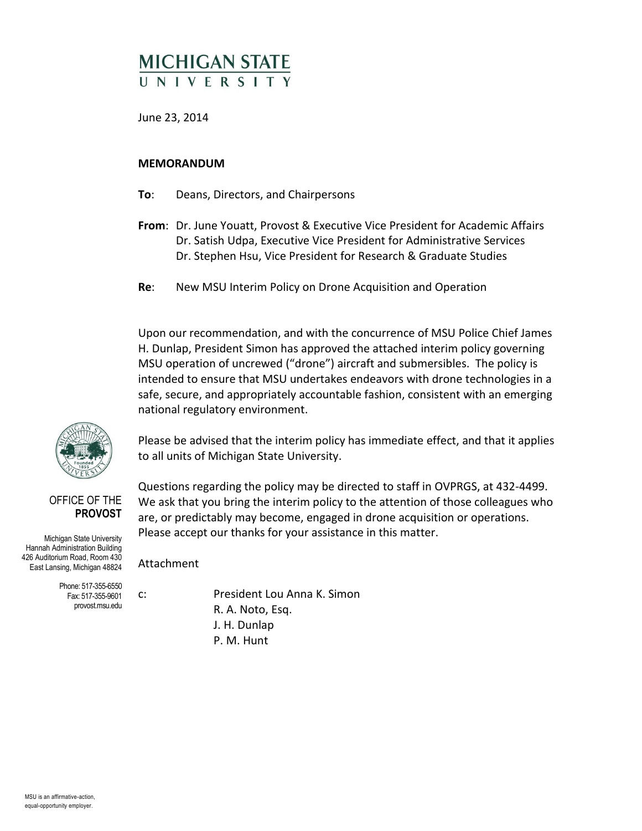# **MICHIGAN STATE** UNIVERSIT

June 23, 2014

#### **MEMORANDUM**

- **To**: Deans, Directors, and Chairpersons
- **From**: Dr. June Youatt, Provost & Executive Vice President for Academic Affairs Dr. Satish Udpa, Executive Vice President for Administrative Services Dr. Stephen Hsu, Vice President for Research & Graduate Studies
- **Re**: New MSU Interim Policy on Drone Acquisition and Operation

Upon our recommendation, and with the concurrence of MSU Police Chief James H. Dunlap, President Simon has approved the attached interim policy governing MSU operation of uncrewed ("drone") aircraft and submersibles. The policy is intended to ensure that MSU undertakes endeavors with drone technologies in a safe, secure, and appropriately accountable fashion, consistent with an emerging national regulatory environment.

Please be advised that the interim policy has immediate effect, and that it applies to all units of Michigan State University.

Questions regarding the policy may be directed to staff in OVPRGS, at 432-4499. We ask that you bring the interim policy to the attention of those colleagues who

#### OFFICE OF THE **PROVOST**

Michigan State University Hannah Administration Building 426 Auditorium Road, Room 430 East Lansing, Michigan 48824

> Phone: 517-355-6550 Fax: 517-355-9601 provost.msu.edu

are, or predictably may become, engaged in drone acquisition or operations. Please accept our thanks for your assistance in this matter. Attachment

c: President Lou Anna K. Simon R. A. Noto, Esq. J. H. Dunlap P. M. Hunt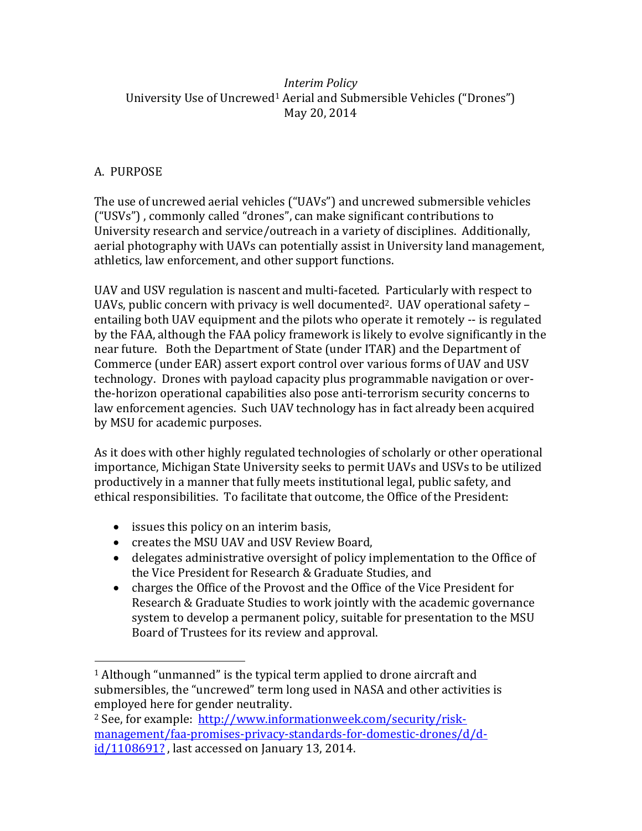### *Interim Policy* University Use of Uncrewed<sup>1</sup> Aerial and Submersible Vehicles ("Drones") May 20, 2014

# A. PURPOSE

 $\overline{a}$ 

The use of uncrewed aerial vehicles ("UAVs") and uncrewed submersible vehicles ("USVs") , commonly called "drones", can make significant contributions to University research and service/outreach in a variety of disciplines. Additionally, aerial photography with UAVs can potentially assist in University land management, athletics, law enforcement, and other support functions.

UAV and USV regulation is nascent and multi-faceted. Particularly with respect to UAVs, public concern with privacy is well documented<sup>2</sup>. UAV operational safety  $$ entailing both UAV equipment and the pilots who operate it remotely -- is regulated by the FAA, although the FAA policy framework is likely to evolve significantly in the near future. Both the Department of State (under ITAR) and the Department of Commerce (under EAR) assert export control over various forms of UAV and USV technology. Drones with payload capacity plus programmable navigation or overthe-horizon operational capabilities also pose anti-terrorism security concerns to law enforcement agencies. Such UAV technology has in fact already been acquired by MSU for academic purposes.

As it does with other highly regulated technologies of scholarly or other operational importance, Michigan State University seeks to permit UAVs and USVs to be utilized productively in a manner that fully meets institutional legal, public safety, and ethical responsibilities. To facilitate that outcome, the Office of the President:

- issues this policy on an interim basis,
- creates the MSU UAV and USV Review Board,
- delegates administrative oversight of policy implementation to the Office of the Vice President for Research & Graduate Studies, and
- charges the Office of the Provost and the Office of the Vice President for Research & Graduate Studies to work jointly with the academic governance system to develop a permanent policy, suitable for presentation to the MSU Board of Trustees for its review and approval.

<sup>&</sup>lt;sup>1</sup> Although "unmanned" is the typical term applied to drone aircraft and submersibles, the "uncrewed" term long used in NASA and other activities is employed here for gender neutrality.

<sup>2</sup> See, for example: [http://www.informationweek.com/security/risk](http://www.informationweek.com/security/risk-management/faa-promises-privacy-standards-for-domestic-drones/d/d-id/1108691?)[management/faa-promises-privacy-standards-for-domestic-drones/d/d](http://www.informationweek.com/security/risk-management/faa-promises-privacy-standards-for-domestic-drones/d/d-id/1108691?)[id/1108691?](http://www.informationweek.com/security/risk-management/faa-promises-privacy-standards-for-domestic-drones/d/d-id/1108691?), last accessed on January 13, 2014.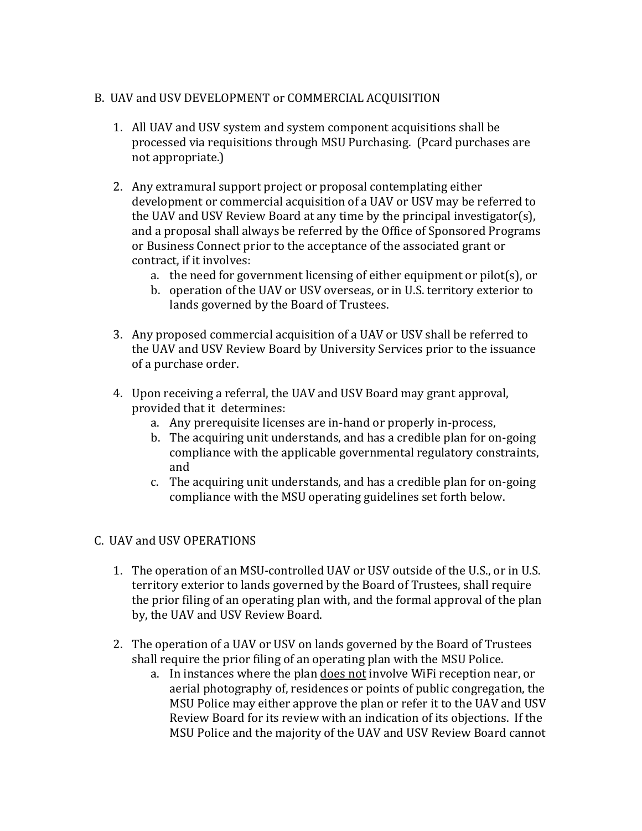## B. UAV and USV DEVELOPMENT or COMMERCIAL ACQUISITION

- 1. All UAV and USV system and system component acquisitions shall be processed via requisitions through MSU Purchasing. (Pcard purchases are not appropriate.)
- 2. Any extramural support project or proposal contemplating either development or commercial acquisition of a UAV or USV may be referred to the UAV and USV Review Board at any time by the principal investigator(s), and a proposal shall always be referred by the Office of Sponsored Programs or Business Connect prior to the acceptance of the associated grant or contract, if it involves:
	- a. the need for government licensing of either equipment or pilot(s), or
	- b. operation of the UAV or USV overseas, or in U.S. territory exterior to lands governed by the Board of Trustees.
- 3. Any proposed commercial acquisition of a UAV or USV shall be referred to the UAV and USV Review Board by University Services prior to the issuance of a purchase order.
- 4. Upon receiving a referral, the UAV and USV Board may grant approval, provided that it determines:
	- a. Any prerequisite licenses are in-hand or properly in-process,
	- b. The acquiring unit understands, and has a credible plan for on-going compliance with the applicable governmental regulatory constraints, and
	- c. The acquiring unit understands, and has a credible plan for on-going compliance with the MSU operating guidelines set forth below.

### C. UAV and USV OPERATIONS

- 1. The operation of an MSU-controlled UAV or USV outside of the U.S., or in U.S. territory exterior to lands governed by the Board of Trustees, shall require the prior filing of an operating plan with, and the formal approval of the plan by, the UAV and USV Review Board.
- 2. The operation of a UAV or USV on lands governed by the Board of Trustees shall require the prior filing of an operating plan with the MSU Police.
	- a. In instances where the plan does not involve WiFi reception near, or aerial photography of, residences or points of public congregation, the MSU Police may either approve the plan or refer it to the UAV and USV Review Board for its review with an indication of its objections. If the MSU Police and the majority of the UAV and USV Review Board cannot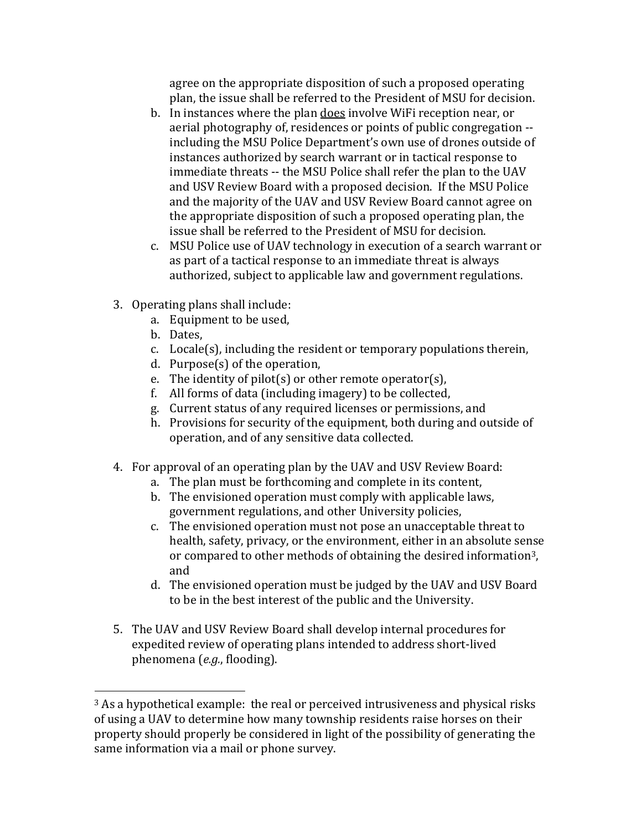agree on the appropriate disposition of such a proposed operating plan, the issue shall be referred to the President of MSU for decision.

- b. In instances where the plan does involve WiFi reception near, or aerial photography of, residences or points of public congregation - including the MSU Police Department's own use of drones outside of instances authorized by search warrant or in tactical response to immediate threats -- the MSU Police shall refer the plan to the UAV and USV Review Board with a proposed decision. If the MSU Police and the majority of the UAV and USV Review Board cannot agree on the appropriate disposition of such a proposed operating plan, the issue shall be referred to the President of MSU for decision.
- c. MSU Police use of UAV technology in execution of a search warrant or as part of a tactical response to an immediate threat is always authorized, subject to applicable law and government regulations.
- 3. Operating plans shall include:
	- a. Equipment to be used,
	- b. Dates,

 $\overline{a}$ 

- c. Locale(s), including the resident or temporary populations therein,
- d. Purpose(s) of the operation,
- e. The identity of pilot(s) or other remote operator(s),
- f. All forms of data (including imagery) to be collected,
- g. Current status of any required licenses or permissions, and
- h. Provisions for security of the equipment, both during and outside of operation, and of any sensitive data collected.
- 4. For approval of an operating plan by the UAV and USV Review Board:
	- a. The plan must be forthcoming and complete in its content,
	- b. The envisioned operation must comply with applicable laws, government regulations, and other University policies,
	- c. The envisioned operation must not pose an unacceptable threat to health, safety, privacy, or the environment, either in an absolute sense or compared to other methods of obtaining the desired information3, and
	- d. The envisioned operation must be judged by the UAV and USV Board to be in the best interest of the public and the University.
- 5. The UAV and USV Review Board shall develop internal procedures for expedited review of operating plans intended to address short-lived phenomena (*e.g.*, flooding).

<sup>&</sup>lt;sup>3</sup> As a hypothetical example: the real or perceived intrusiveness and physical risks of using a UAV to determine how many township residents raise horses on their property should properly be considered in light of the possibility of generating the same information via a mail or phone survey.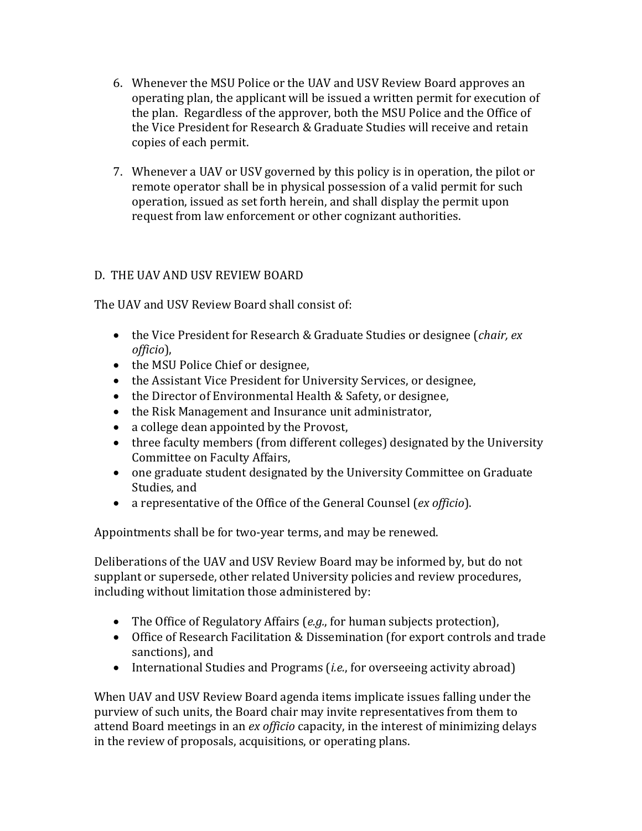- 6. Whenever the MSU Police or the UAV and USV Review Board approves an operating plan, the applicant will be issued a written permit for execution of the plan. Regardless of the approver, both the MSU Police and the Office of the Vice President for Research & Graduate Studies will receive and retain copies of each permit.
- 7. Whenever a UAV or USV governed by this policy is in operation, the pilot or remote operator shall be in physical possession of a valid permit for such operation, issued as set forth herein, and shall display the permit upon request from law enforcement or other cognizant authorities.

# D. THE UAV AND USV REVIEW BOARD

The UAV and USV Review Board shall consist of:

- the Vice President for Research & Graduate Studies or designee (*chair, ex officio*),
- the MSU Police Chief or designee,
- the Assistant Vice President for University Services, or designee,
- the Director of Environmental Health & Safety, or designee,
- the Risk Management and Insurance unit administrator,
- a college dean appointed by the Provost,
- three faculty members (from different colleges) designated by the University Committee on Faculty Affairs,
- one graduate student designated by the University Committee on Graduate Studies, and
- a representative of the Office of the General Counsel (*ex officio*).

Appointments shall be for two-year terms, and may be renewed.

Deliberations of the UAV and USV Review Board may be informed by, but do not supplant or supersede, other related University policies and review procedures, including without limitation those administered by:

- The Office of Regulatory Affairs (*e.g.*, for human subjects protection),
- Office of Research Facilitation & Dissemination (for export controls and trade sanctions), and
- International Studies and Programs (*i.e.*, for overseeing activity abroad)

When UAV and USV Review Board agenda items implicate issues falling under the purview of such units, the Board chair may invite representatives from them to attend Board meetings in an *ex officio* capacity, in the interest of minimizing delays in the review of proposals, acquisitions, or operating plans.